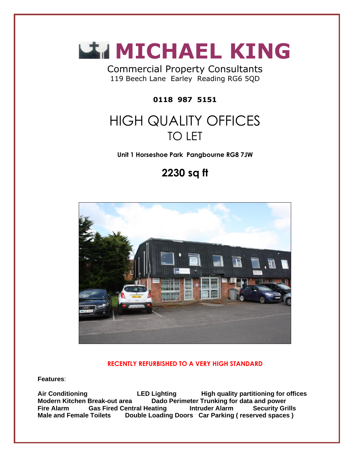

Commercial Property Consultants 119 Beech Lane Earley Reading RG6 5QD

**0118 987 5151**

# HIGH QUALITY OFFICES TO LET

**Unit 1 Horseshoe Park Pangbourne RG8 7JW**

## **2230 sq ft**



#### **RECENTLY REFURBISHED TO A VERY HIGH STANDARD**

**Features**:

**Air Conditioning LED Lighting High quality partitioning for offices Dado Perimeter Trunking for data and power Fire Alarm Gas Fired Central Heating Intruder Alarm Security Grills Male and Female Toilets Double Loading Doors Car Parking ( reserved spaces )**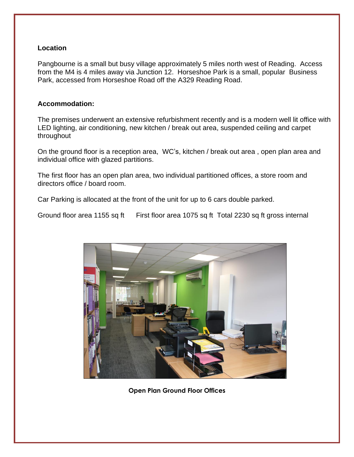#### **Location**

Pangbourne is a small but busy village approximately 5 miles north west of Reading. Access from the M4 is 4 miles away via Junction 12. Horseshoe Park is a small, popular Business Park, accessed from Horseshoe Road off the A329 Reading Road.

#### **Accommodation:**

The premises underwent an extensive refurbishment recently and is a modern well lit office with LED lighting, air conditioning, new kitchen / break out area, suspended ceiling and carpet throughout

On the ground floor is a reception area, WC's, kitchen / break out area , open plan area and individual office with glazed partitions.

The first floor has an open plan area, two individual partitioned offices, a store room and directors office / board room.

Car Parking is allocated at the front of the unit for up to 6 cars double parked.

Ground floor area 1155 sq ft First floor area 1075 sq ft Total 2230 sq ft gross internal



 **Open Plan Ground Floor Offices**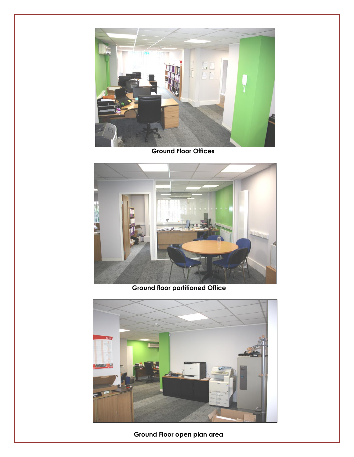

 **Ground Floor Offices**



 **Ground floor partitioned Office**



 **Ground Floor open plan area**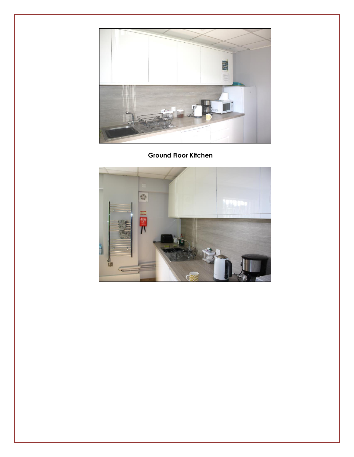

### **Ground Floor Kitchen**

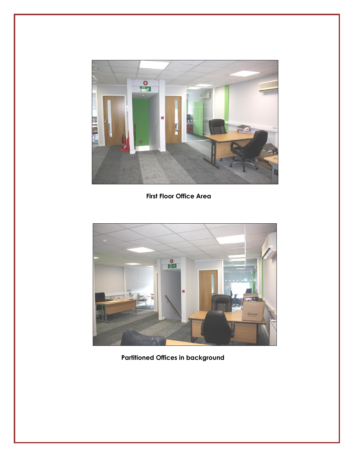

 **First Floor Office Area**



 **Partitioned Offices in background**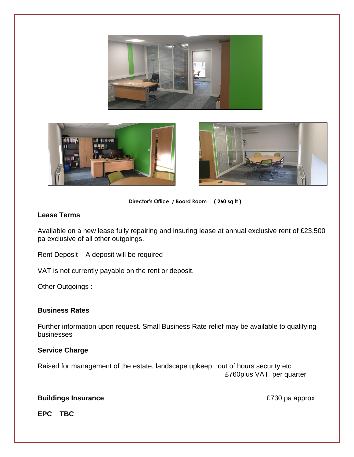





**Director's Office / Board Room ( 260 sq ft )**

#### **Lease Terms**

Available on a new lease fully repairing and insuring lease at annual exclusive rent of £23,500 pa exclusive of all other outgoings.

Rent Deposit – A deposit will be required

VAT is not currently payable on the rent or deposit.

Other Outgoings :

#### **Business Rates**

Further information upon request. Small Business Rate relief may be available to qualifying businesses

#### **Service Charge**

Raised for management of the estate, landscape upkeep, out of hours security etc £760plus VAT per quarter

#### **Buildings Insurance E730 pa approx**

**EPC TBC**